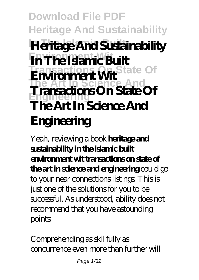**Download File PDF Heritage And Sustainability In The Islamic Built Heritage And Sustainability In The Islamic Built Transactions On State Of Environment Wit The Art In Science And Engineering Transactions On State Of The Art In Science And Engineering**

Yeah, reviewing a book **heritage and sustainability in the islamic built environment wit transactions on state of the art in science and engineering** could go to your near connections listings. This is just one of the solutions for you to be successful. As understood, ability does not recommend that you have astounding points.

Comprehending as skillfully as concurrence even more than further will

Page 1/32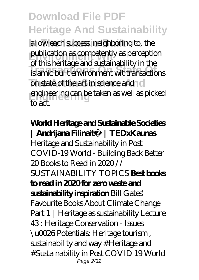allow each success neighboring to, the publication as competently as perception **Transactions On State Of** islamic built environment wit transactions on state of the art in science and no **Engineering** engineering can be taken as well as picked of this heritage and sustainability in the  $\overline{t}$ 

#### **World Heritage and Sustainable Societies | Andrijana Filinaitė | TEDxKaunas** *Heritage and Sustainability in Post COVID-19 World - Building Back Better* 20 Books to Read in 2020 // SUSTAINABILITY TOPICS **Best books to read in 2020 for zero waste and sustainability inspiration** Bill Gates' Favourite Books About Climate Change *Part 1 | Heritage as sustainability Lecture 43 : Heritage Conservation - Issues \u0026 Potentials: Heritage tourism , sustainability and way #Heritage and #Sustainability in Post COVID 19 World* Page 2/32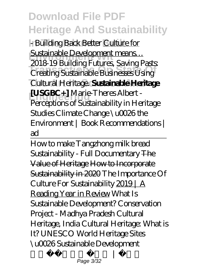**In The Islamic Built** *- Building Back Better* Culture for **Sustainable Development means…**<br>2018.10 *De il direct* for trans. Continued **Transactions On State Of** *Creating Sustainable Businesses Using* **The Art In Science And** *Cultural Heritage.* **Sustainable Heritage [USGBC+]** Marie-Theres Albert -*2018-19 Building Futures, Saving Pasts:* Perceptions of Sustainability in Heritage Studies Climate Change \u0026 the Environment | Book Recommendations | ad

How to make Tangzhong milk bread *Sustainability - Full Documentary* The Value of Heritage How to Incorporate Sustainability in 2020 *The Importance Of Culture For Sustainability* 2019 | A Reading Year in Review *What Is Sustainable Development?* Conservation Project - Madhya Pradesh Cultural Heritage, India Cultural Heritage: What is It? UNESCO World Heritage Sites \u0026 Sustainable Development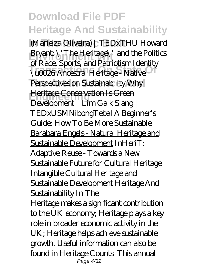**In The Islamic Built** (Marielza Oliveira) | TEDxTHU *Howard* **Environment Wit** *Bryant: \"The Heritage\" and the Politics* **Transactions On State Of** *\u0026 Ancestral Heritage - Native* **The Art In Science And** *Perspectives on Sustainability* Why **Heritage Conservation Is Green** *of Race, Sports, and Patriotism Identity* Development | Lim Gaik Siang | TEDxUSMNibongTebal *A Beginner's Guide: How To Be More Sustainable* Barabara Engels - Natural Heritage and Sustainable Development InHeriT: Adaptive Reuse Towards a New Sustainable Future for Cultural Heritage *Intangible Cultural Heritage and Sustainable Development Heritage And Sustainability In The*

Heritage makes a significant contribution to the UK economy; Heritage plays a key role in broader economic activity in the UK; Heritage helps achieve sustainable growth. Useful information can also be found in Heritage Counts. This annual Page 4/32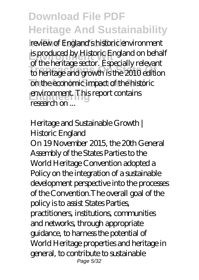review of England's historic environment **is produced by Historic England on behalf Transactions On State Of** to heritage and growth is the 2010 edition on the economic impact of the historic **Environment.** This report contains of the heritage sector. Especially relevant research on

#### *Heritage and Sustainable Growth | Historic England*

On 19 November 2015, the 20th General Assembly of the States Parties to the World Heritage Convention adopted a Policy on the integration of a sustainable development perspective into the processes of the Convention.The overall goal of the policy is to assist States Parties, practitioners, institutions, communities and networks, through appropriate guidance, to harness the potential of World Heritage properties and heritage in general, to contribute to sustainable Page 5/32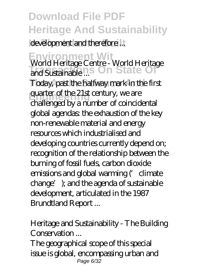development and therefore...

**Environment Wit** *World Heritage Centre - World Heritage* **Transactions On State Of** *and Sustainable ...*

Today, past the halfway mark in the first quarter of the 21st century, we are challenged by a number of coincidental global agendas: the exhaustion of the key non-renewable material and energy resources which industrialised and developing countries currently depend on; recognition of the relationship between the burning of fossil fuels, carbon dioxide emissions and global warming (Colimate change'); and the agenda of sustainable development, articulated in the 1987 Brundtland Report ...

#### *Heritage and Sustainability - The Building Conservation ...*

The geographical scope of this special issue is global, encompassing urban and Page 6/32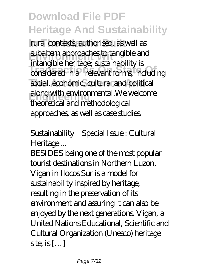**In The Islamic Built** rural contexts, authorised, as well as **Environment Wit** subaltern approaches to tangible and **Transactions On State Of** considered in all relevant forms, including social, economic, cultural and political **Engineering** along with environmental.We welcome intangible heritage; sustainability is theoretical and methodological approaches, as well as case studies.

#### *Sustainability | Special Issue : Cultural Heritage ...*

BESIDES being one of the most popular tourist destinations in Northern Luzon, Vigan in Ilocos Sur is a model for sustainability inspired by heritage, resulting in the preservation of its environment and assuring it can also be enjoyed by the next generations. Vigan, a United Nations Educational, Scientific and Cultural Organization (Unesco) heritage site is  $[...]$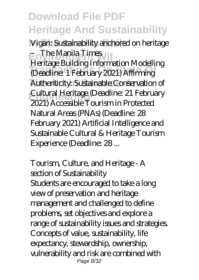**In The Islamic Built** *Vigan: Sustainability anchored on heritage* **Environment Wit** *– The Manila Times*

**Transactions On State Of** (Deadline: 1 February 2021) Affirming Authenticity: Sustainable Conservation of **Engineering** Cultural Heritage (Deadline: 21 February Heritage Building Information Modelling 2021) Accessible Tourism in Protected Natural Areas (PNAs) (Deadline: 28 February 2021) Artificial Intelligence and Sustainable Cultural & Heritage Tourism Experience (Deadline: 28 ...

#### *Tourism, Culture, and Heritage - A section of Sustainability*

Students are encouraged to take a long view of preservation and heritage management and challenged to define problems, set objectives and explore a range of sustainability issues and strategies. Concepts of value, sustainability, life expectancy, stewardship, ownership, vulnerability and risk are combined with Page 8/32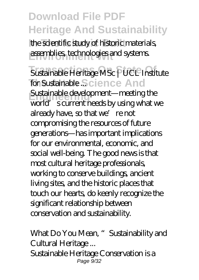the scientific study of historic materials assemblies, technologies and systems.

**Transactions On State Of** *Sustainable Heritage MSc | UCL Institute* for Sustainable Science And **Engineering** Sustainable development—meeting the world's current needs by using what we already have, so that we're not compromising the resources of future generations—has important implications for our environmental, economic, and social well-being. The good news is that most cultural heritage professionals, working to conserve buildings, ancient living sites, and the historic places that touch our hearts, do keenly recognize the significant relationship between conservation and sustainability.

*What Do You Mean, "Sustainability and Cultural Heritage ...* Sustainable Heritage Conservation is a  $Page\ 9/32$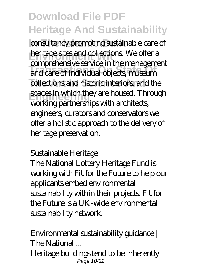consultancy promoting sustainable care of **Environment Collections.** We offer a **Transactions On State Of** and care of individual objects, museum collections and historic interiors, and the **Exaces in which they are housed. Through** comprehensive service in the management working partnerships with architects, engineers, curators and conservators we offer a holistic approach to the delivery of heritage preservation.

#### *Sustainable Heritage*

The National Lottery Heritage Fund is working with Fit for the Future to help our applicants embed environmental sustainability within their projects. Fit for the Future is a UK-wide environmental sustainability network.

#### *Environmental sustainability guidance | The National ...* Heritage buildings tend to be inherently

Page 10/32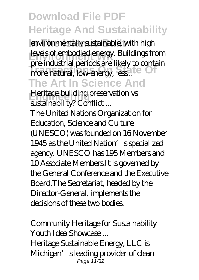environmentally sustainable, with high **Levels of embodied energy. Buildings from** promatural, low-energy, less..<sup>....</sup> Of **The Art In Science And** pre-industrial periods are likely to contain

*Heritage building preservation vs sustainability? Conflict ...*

The United Nations Organization for Education, Science and Culture (UNESCO) was founded on 16 November 1945 as the United Nation's specialized agency. UNESCO has 195 Members and 10 Associate Members.It is governed by the General Conference and the Executive Board.The Secretariat, headed by the Director-General, implements the decisions of these two bodies.

*Community Heritage for Sustainability Youth Idea Showcase ...* Heritage Sustainable Energy, LLC is Michigan's leading provider of clean Page 11/32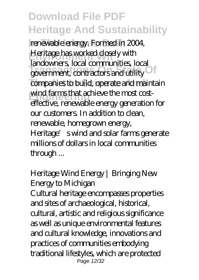**In The Islamic Built** renewable energy. Formed in 2004, **Excelence has worked close Transmission Communications Community** companies to build, operate and maintain wind farms that achieve the most cost-Heritage has worked closely with landowners, local communities, local government, contractors and utility effective, renewable energy generation for our customers. In addition to clean, renewable, homegrown energy, Heritage's wind and solar farms generate millions of dollars in local communities through ...

#### *Heritage Wind Energy | Bringing New Energy to Michigan*

Cultural heritage encompasses properties and sites of archaeological, historical, cultural, artistic and religious significance as well as unique environmental features and cultural knowledge, innovations and practices of communities embodying traditional lifestyles, which are protected Page 12/32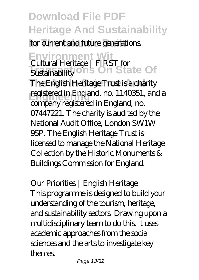### for current and future generations.

#### **Environment Wit Sustainability on's On State Of** *Cultural Heritage | FIRST for Sustainability*

The English Heritage Trust is a charity **Engineering** registered in England, no. 1140351, and a company registered in England, no. 07447221. The charity is audited by the National Audit Office, London SW1W 9SP. The English Heritage Trust is licensed to manage the National Heritage Collection by the Historic Monuments & Buildings Commission for England.

*Our Priorities | English Heritage* This programme is designed to build your understanding of the tourism, heritage, and sustainability sectors. Drawing upon a multidisciplinary team to do this, it uses academic approaches from the social sciences and the arts to investigate key themes.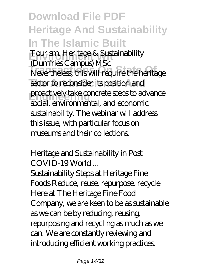**Download File PDF Heritage And Sustainability In The Islamic Built** *Fourism, Heritage & Sustainability* **Transactions On State Of** Nevertheless, this will require the heritage sector to reconsider its position and proactively take concrete steps to advance *(Dumfries Campus) MSc* social, environmental, and economic sustainability. The webinar will address this issue, with particular focus on museums and their collections.

#### *Heritage and Sustainability in Post COVID-19 World ...*

Sustainability Steps at Heritage Fine Foods Reduce, reuse, repurpose, recycle Here at The Heritage Fine Food Company, we are keen to be as sustainable as we can be by reducing, reusing, repurposing and recycling as much as we can. We are constantly reviewing and introducing efficient working practices.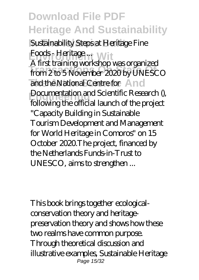**In The Islamic Built** *Sustainability Steps at Heritage Fine Foods - Heritage ...* With **Transactions On State Of** from 2 to 5 November 2020 by UNESCO and the National Centre for And **Examentation and Scientific Research (),**<br>
<u>Ellistingity</u> afficial larger of the quaject A first training workshop was organized following the official launch of the project "Capacity Building in Sustainable Tourism Development and Management for World Heritage in Comoros" on 15 October 2020.The project, financed by the Netherlands Funds-in-Trust to UNESCO, aims to strengthen ...

This book brings together ecologicalconservation theory and heritagepreservation theory and shows how these two realms have common purpose. Through theoretical discussion and illustrative examples, Sustainable Heritage Page 15/32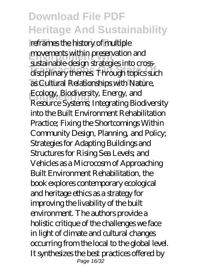reframes the history of multiple **Environments within preservation and Transactions On State Of** disciplinary themes. Through topics such as Cultural Relationships with Nature, Ecology, Biodiversity, Energy, and sustainable-design strategies into cross-Resource Systems; Integrating Biodiversity into the Built Environment Rehabilitation Practice; Fixing the Shortcomings Within Community Design, Planning, and Policy; Strategies for Adapting Buildings and Structures for Rising Sea Levels; and Vehicles as a Microcosm of Approaching Built Environment Rehabilitation, the book explores contemporary ecological and heritage ethics as a strategy for improving the livability of the built environment. The authors provide a holistic critique of the challenges we face in light of climate and cultural changes occurring from the local to the global level. It synthesizes the best practices offered by Page 16/32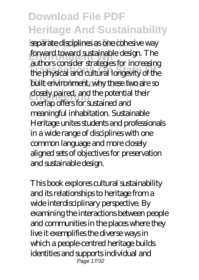separate disciplines as one cohesive way **forward toward sustainable design. The Transactions On State Of** the physical and cultural longevity of the built environment, why these two are so **Elosely paired, and the potential their** authors consider strategies for increasing overlap offers for sustained and meaningful inhabitation. Sustainable Heritage unites students and professionals in a wide range of disciplines with one common language and more closely aligned sets of objectives for preservation and sustainable design.

This book explores cultural sustainability and its relationships to heritage from a wide interdisciplinary perspective. By examining the interactions between people and communities in the places where they live it exemplifies the diverse ways in which a people-centred heritage builds identities and supports individual and Page 17/32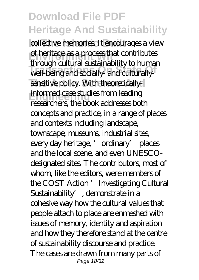collective memories. It encourages a view **Environment Wit** of heritage as a process that contributes **Transactions On State Of** well-being and socially- and culturallysensitive policy. With theoretically**informed case studies from leading** through cultural sustainability to human researchers, the book addresses both concepts and practice, in a range of places and contexts including landscape, townscape, museums, industrial sites, every day heritage, 'ordinary' places and the local scene, and even UNESCOdesignated sites. The contributors, most of whom, like the editors, were members of the COST Action 'Investigating Cultural Sustainability', demonstrate in a cohesive way how the cultural values that people attach to place are enmeshed with issues of memory, identity and aspiration and how they therefore stand at the centre of sustainability discourse and practice. The cases are drawn from many parts of Page 18/32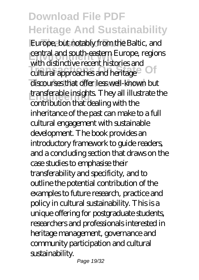Europe, but notably from the Baltic, and **central and south-eastern Europe, regions Transactions On State Of** cultural approaches and heritage discourses that offer less well-known but **Engineering** transferable insights. They all illustrate the with distinctive recent histories and contribution that dealing with the inheritance of the past can make to a full cultural engagement with sustainable development. The book provides an introductory framework to guide readers, and a concluding section that draws on the case studies to emphasise their transferability and specificity, and to outline the potential contribution of the examples to future research, practice and policy in cultural sustainability. This is a unique offering for postgraduate students, researchers and professionals interested in heritage management, governance and community participation and cultural sustainability.

Page 19/32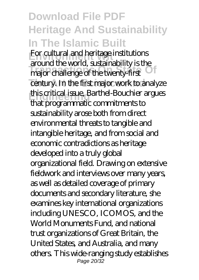### **Download File PDF Heritage And Sustainability In The Islamic Built For cultural and heritage institutions Transactions On State Of** major challenge of the twenty-first century. In the first major work to analyze **Engineering** this critical issue, Barthel-Bouchier argues around the world, sustainability is the that programmatic commitments to sustainability arose both from direct environmental threats to tangible and intangible heritage, and from social and economic contradictions as heritage developed into a truly global organizational field. Drawing on extensive fieldwork and interviews over many years, as well as detailed coverage of primary documents and secondary literature, she examines key international organizations including UNESCO, ICOMOS, and the World Monuments Fund, and national trust organizations of Great Britain, the United States, and Australia, and many others. This wide-ranging study establishes Page 20/32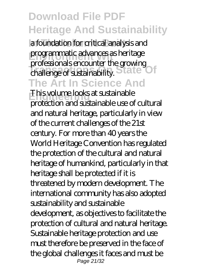**In The Islamic Built** a foundation for critical analysis and programmatic advances as heritage **Transactions On State Of** challenge of sustainability. **The Art In Science And** professionals encounter the growing

**Engineering** This volume looks at sustainable protection and sustainable use of cultural and natural heritage, particularly in view of the current challenges of the 21st century. For more than 40 years the World Heritage Convention has regulated the protection of the cultural and natural heritage of humankind, particularly in that heritage shall be protected if it is threatened by modern development. The international community has also adopted sustainability and sustainable development, as objectives to facilitate the protection of cultural and natural heritage. Sustainable heritage protection and use must therefore be preserved in the face of the global challenges it faces and must be Page 21/32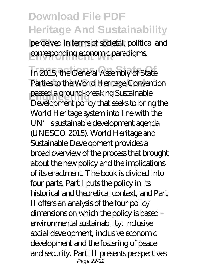perceived in terms of societal, political and corresponding economic paradigms.

In 2015, the General Assembly of State Parties to the World Heritage Convention **Engineering** passed a ground-breaking Sustainable Development policy that seeks to bring the World Heritage system into line with the UN's sustainable development agenda (UNESCO 2015). World Heritage and Sustainable Development provides a broad overview of the process that brought about the new policy and the implications of its enactment. The book is divided into four parts. Part I puts the policy in its historical and theoretical context, and Part II offers an analysis of the four policy dimensions on which the policy is based – environmental sustainability, inclusive social development, inclusive economic development and the fostering of peace and security. Part III presents perspectives Page 22/32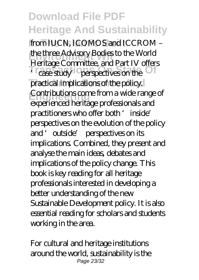from IUCN, ICOMOS and ICCROM the three Advisory Bodies to the World<br>Lating Generative and Dart B Lefter <sup>t</sup> case study<sup>1</sup> perspectives on the practical implications of the policy. **Engineering** Contributions come from a wide range of Heritage Committee, and Part IV offers experienced heritage professionals and practitioners who offer both 'inside' perspectives on the evolution of the policy and 'outside' perspectives on its implications. Combined, they present and analyse the main ideas, debates and implications of the policy change. This book is key reading for all heritage professionals interested in developing a better understanding of the new Sustainable Development policy. It is also essential reading for scholars and students working in the area.

For cultural and heritage institutions around the world, sustainability is the Page 23/32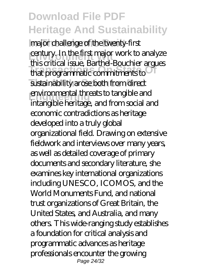**In The Islamic Built** major challenge of the twenty-first **Century. In the first major work to analyze Transactions On State Of** that programmatic commitments to sustainability arose both from direct **Engineering** environmental threats to tangible and this critical issue, Barthel-Bouchier argues intangible heritage, and from social and economic contradictions as heritage developed into a truly global organizational field. Drawing on extensive fieldwork and interviews over many years, as well as detailed coverage of primary documents and secondary literature, she examines key international organizations including UNESCO, ICOMOS, and the World Monuments Fund, and national trust organizations of Great Britain, the United States, and Australia, and many others. This wide-ranging study establishes a foundation for critical analysis and programmatic advances as heritage professionals encounter the growing Page 24/32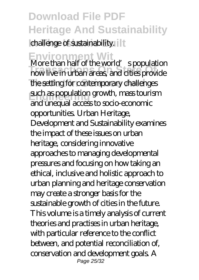challenge of sustainability. **It** 

**Environment Wit** More than half of the world's population **Transactions On State Of** now live in urban areas, and cities provide the setting for contemporary challenges **Engineering** such as population growth, mass tourism and unequal access to socio-economic opportunities. Urban Heritage, Development and Sustainability examines the impact of these issues on urban heritage, considering innovative approaches to managing developmental pressures and focusing on how taking an ethical, inclusive and holistic approach to urban planning and heritage conservation may create a stronger basis for the sustainable growth of cities in the future. This volume is a timely analysis of current theories and practises in urban heritage, with particular reference to the conflict between, and potential reconciliation of, conservation and development goals. A Page 25/32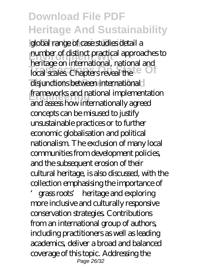global range of case studies detail a **number of distinct practical approaches to Transport Museum Communications** disjunctions between international **Engineering** frameworks and national implementation heritage on international, national and and assess how internationally agreed concepts can be misused to justify unsustainable practices or to further economic globalisation and political nationalism. The exclusion of many local communities from development policies, and the subsequent erosion of their cultural heritage, is also discussed, with the collection emphasising the importance of

'grass roots' heritage and exploring more inclusive and culturally responsive conservation strategies. Contributions from an international group of authors, including practitioners as well as leading academics, deliver a broad and balanced coverage of this topic. Addressing the Page 26/32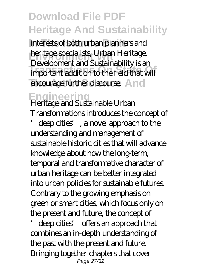interests of both urban planners and **heritage specialists, Urban Heritage, Transactions On State Of** important addition to the field that will encourage further discourse. And Development and Sustainability is an

**Engineering** Heritage and Sustainable Urban Transformations introduces the concept of

deep cities', a novel approach to the understanding and management of sustainable historic cities that will advance knowledge about how the long-term, temporal and transformative character of urban heritage can be better integrated into urban policies for sustainable futures. Contrary to the growing emphasis on green or smart cities, which focus only on the present and future, the concept of

'deep cities' offers an approach that combines an in-depth understanding of the past with the present and future. Bringing together chapters that cover Page 27/32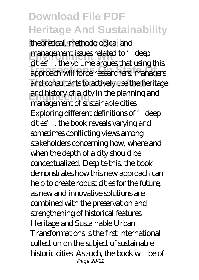theoretical, methodological and **Engineer issues related to 'deep Transactions On State Of** approach will force researchers, managers and consultants to actively use the heritage and history of a city in the planning and cities', the volume argues that using this management of sustainable cities. Exploring different definitions of 'deep cities', the book reveals varying and sometimes conflicting views among stakeholders concerning how, where and when the depth of a city should be conceptualized. Despite this, the book demonstrates how this new approach can help to create robust cities for the future, as new and innovative solutions are combined with the preservation and strengthening of historical features. Heritage and Sustainable Urban Transformations is the first international collection on the subject of sustainable historic cities. As such, the book will be of Page 28/32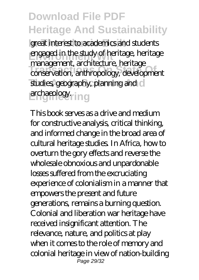great interest to academics and students **Engaged in the study of heritage, heritage Transactions On State Of** conservation, anthropology, development studies, geography, planning and c archaeology.ring management, architecture, heritage

This book serves as a drive and medium for constructive analysis, critical thinking, and informed change in the broad area of cultural heritage studies. In Africa, how to overturn the gory effects and reverse the wholesale obnoxious and unpardonable losses suffered from the excruciating experience of colonialism in a manner that empowers the present and future generations, remains a burning question. Colonial and liberation war heritage have received insignificant attention. The relevance, nature, and politics at play when it comes to the role of memory and colonial heritage in view of nation-building Page 29/32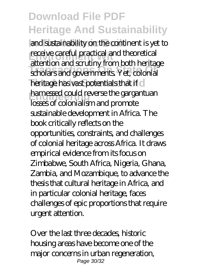and sustainability on the continent is yet to **Freceive careful practical and theoretical Transactions On State Of** scholars and governments. Yet, colonial heritage has vast potentials that if c **harnessed could reverse the gargantuan** attention and scrutiny from both heritage losses of colonialism and promote sustainable development in Africa. The book critically reflects on the opportunities, constraints, and challenges of colonial heritage across Africa. It draws empirical evidence from its focus on Zimbabwe, South Africa, Nigeria, Ghana, Zambia, and Mozambique, to advance the thesis that cultural heritage in Africa, and in particular colonial heritage, faces challenges of epic proportions that require urgent attention.

Over the last three decades, historic housing areas have become one of the major concerns in urban regeneration, Page 30/32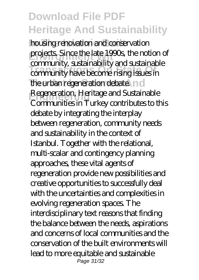**housing renovation and conservation** projects. Since the late 1990s, the notion of **Transactions of the Community have become rising issues in** the urban regeneration debate. n d **Engineering** Regeneration, Heritage and Sustainable community, sustainability and sustainable Communities in Turkey contributes to this debate by integrating the interplay between regeneration, community needs and sustainability in the context of Istanbul. Together with the relational, multi-scalar and contingency planning approaches, these vital agents of regeneration provide new possibilities and creative opportunities to successfully deal with the uncertainties and complexities in evolving regeneration spaces. The interdisciplinary text reasons that finding the balance between the needs, aspirations and concerns of local communities and the conservation of the built environments will lead to more equitable and sustainable Page 31/32